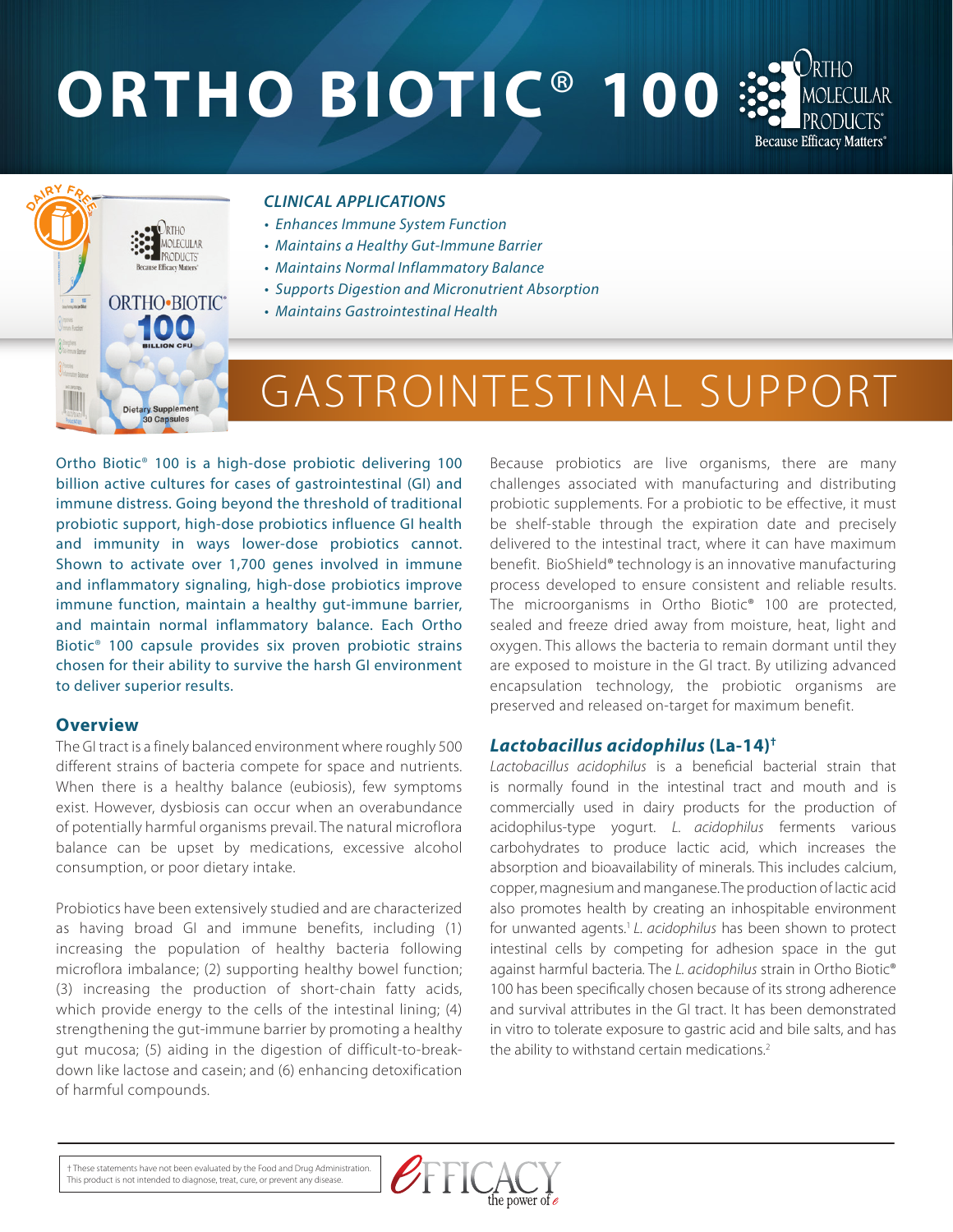# **ORTHO BIOTIC**® **100**



#### *CLINICAL APPLICATIONS*

- *Enhances Immune System Function*
- *Maintains a Healthy Gut-Immune Barrier*
- *Maintains Normal Inflammatory Balance*
- *Supports Digestion and Micronutrient Absorption*
- *Maintains Gastrointestinal Health*

## GASTROINTESTINAL SUPPORT

Ortho Biotic® 100 is a high-dose probiotic delivering 100 billion active cultures for cases of gastrointestinal (GI) and immune distress. Going beyond the threshold of traditional probiotic support, high-dose probiotics influence GI health and immunity in ways lower-dose probiotics cannot. Shown to activate over 1,700 genes involved in immune and inflammatory signaling, high-dose probiotics improve immune function, maintain a healthy gut-immune barrier, and maintain normal inflammatory balance. Each Ortho Biotic® 100 capsule provides six proven probiotic strains chosen for their ability to survive the harsh GI environment to deliver superior results.

MOLECULAR

ORTHO-BIOTIC® iloto

> **Dietary Supplement** 0 Capsules

#### **Overview**

The GI tract is a finely balanced environment where roughly 500 different strains of bacteria compete for space and nutrients. When there is a healthy balance (eubiosis), few symptoms exist. However, dysbiosis can occur when an overabundance of potentially harmful organisms prevail. The natural microflora balance can be upset by medications, excessive alcohol consumption, or poor dietary intake.

Probiotics have been extensively studied and are characterized as having broad GI and immune benefits, including (1) increasing the population of healthy bacteria following microflora imbalance; (2) supporting healthy bowel function; (3) increasing the production of short-chain fatty acids, which provide energy to the cells of the intestinal lining; (4) strengthening the gut-immune barrier by promoting a healthy gut mucosa; (5) aiding in the digestion of difficult-to-breakdown like lactose and casein; and (6) enhancing detoxification of harmful compounds.

Because probiotics are live organisms, there are many challenges associated with manufacturing and distributing probiotic supplements. For a probiotic to be effective, it must be shelf-stable through the expiration date and precisely delivered to the intestinal tract, where it can have maximum benefit. BioShield® technology is an innovative manufacturing process developed to ensure consistent and reliable results. The microorganisms in Ortho Biotic® 100 are protected, sealed and freeze dried away from moisture, heat, light and oxygen. This allows the bacteria to remain dormant until they are exposed to moisture in the GI tract. By utilizing advanced encapsulation technology, the probiotic organisms are preserved and released on-target for maximum benefit.

#### *Lactobacillus acidophilus* **(La-14)†**

*Lactobacillus acidophilus* is a beneficial bacterial strain that is normally found in the intestinal tract and mouth and is commercially used in dairy products for the production of acidophilus-type yogurt. *L. acidophilus* ferments various carbohydrates to produce lactic acid, which increases the absorption and bioavailability of minerals. This includes calcium, copper, magnesium and manganese.The production of lactic acid also promotes health by creating an inhospitable environment for unwanted agents.1 *L. acidophilus* has been shown to protect intestinal cells by competing for adhesion space in the gut against harmful bacteria*.* The *L. acidophilus* strain in Ortho Biotic® 100 has been specifically chosen because of its strong adherence and survival attributes in the GI tract. It has been demonstrated in vitro to tolerate exposure to gastric acid and bile salts, and has the ability to withstand certain medications.<sup>2</sup>

† These statements have not been evaluated by the Food and Drug Administration. This product is not intended to diagnose, treat, cure, or prevent any disease.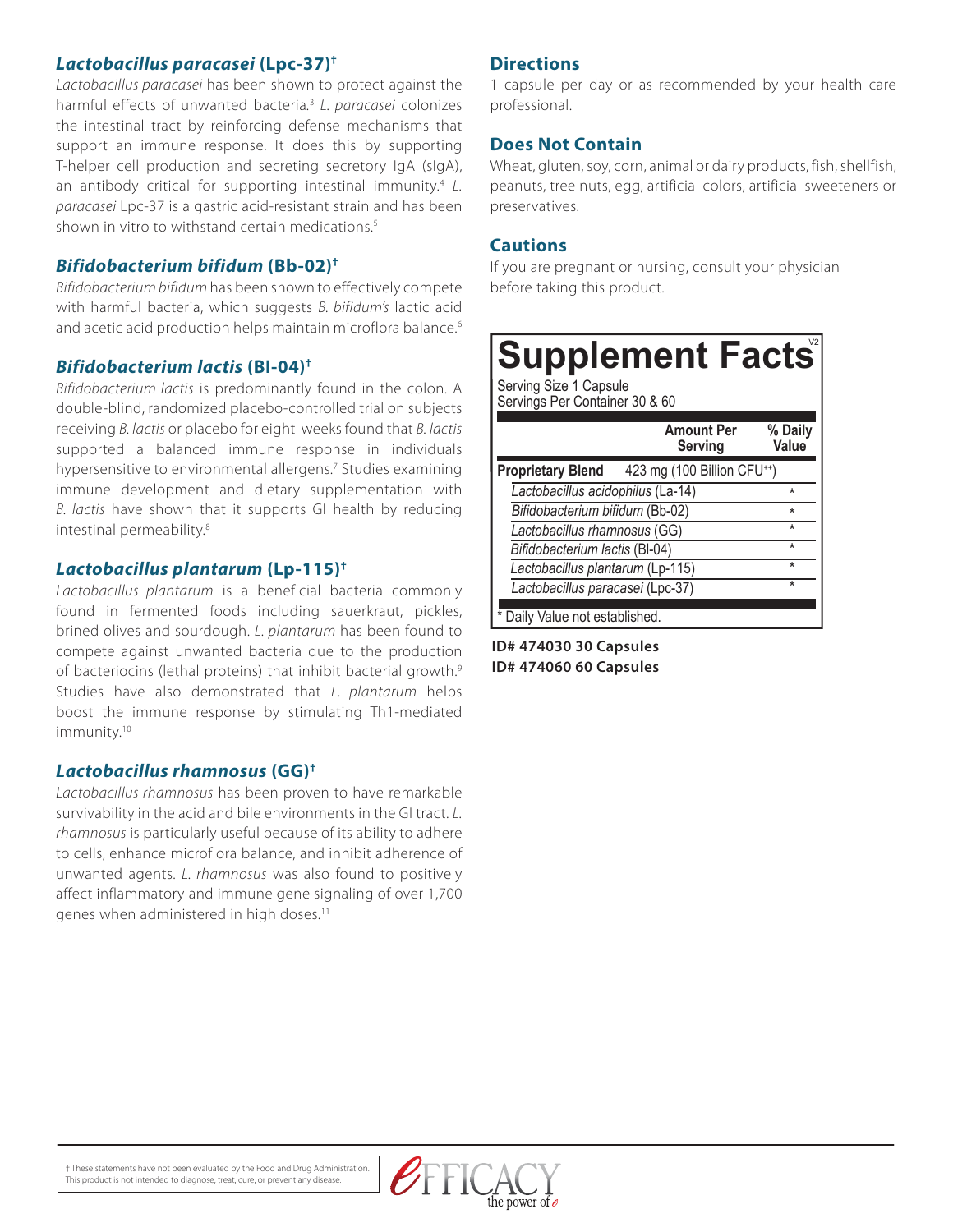#### *Lactobacillus paracasei* **(Lpc-37)†**

*Lactobacillus paracasei* has been shown to protect against the harmful effects of unwanted bacteria*.* <sup>3</sup> *L. paracasei* colonizes the intestinal tract by reinforcing defense mechanisms that support an immune response. It does this by supporting T-helper cell production and secreting secretory IgA (sIgA), an antibody critical for supporting intestinal immunity.<sup>4</sup> L. *paracasei* Lpc-37 is a gastric acid-resistant strain and has been shown in vitro to withstand certain medications.<sup>5</sup>

#### *Bifidobacterium bifidum* **(Bb-02)†**

*Bifidobacterium bifidum* has been shown to effectively compete with harmful bacteria, which suggests *B. bifidum's* lactic acid and acetic acid production helps maintain microflora balance.<sup>6</sup>

#### *Bifidobacterium lactis* **(BI-04)†**

*Bifidobacterium lactis* is predominantly found in the colon. A double-blind, randomized placebo-controlled trial on subjects receiving *B. lactis* or placebo for eight weeks found that *B. lactis* supported a balanced immune response in individuals hypersensitive to environmental allergens.7 Studies examining immune development and dietary supplementation with *B. lactis* have shown that it supports GI health by reducing intestinal permeability.8

#### *Lactobacillus plantarum* **(Lp-115)†**

*Lactobacillus plantarum* is a beneficial bacteria commonly found in fermented foods including sauerkraut, pickles, brined olives and sourdough. *L. plantarum* has been found to compete against unwanted bacteria due to the production of bacteriocins (lethal proteins) that inhibit bacterial growth.<sup>9</sup> Studies have also demonstrated that *L. plantarum* helps boost the immune response by stimulating Th1-mediated immunity.<sup>10</sup>

#### *Lactobacillus rhamnosus* **(GG)†**

*Lactobacillus rhamnosus* has been proven to have remarkable survivability in the acid and bile environments in the GI tract. *L. rhamnosus* is particularly useful because of its ability to adhere to cells, enhance microflora balance, and inhibit adherence of unwanted agents. *L. rhamnosus* was also found to positively affect inflammatory and immune gene signaling of over 1,700 genes when administered in high doses.<sup>11</sup>

#### **Directions**

1 capsule per day or as recommended by your health care professional.

#### **Does Not Contain**

Wheat, gluten, soy, corn, animal or dairy products, fish, shellfish, peanuts, tree nuts, egg, artificial colors, artificial sweeteners or preservatives.

#### **Cautions**

If you are pregnant or nursing, consult your physician before taking this product.

### **Supplement Facts**

Serving Size 1 Capsule Servings Per Container 30 & 60

|                                   | <b>Amount Per</b><br>Serving            | % Daily<br>Value |
|-----------------------------------|-----------------------------------------|------------------|
| <b>Proprietary Blend</b>          | 423 mg (100 Billion CFU <sup>++</sup> ) |                  |
| Lactobacillus acidophilus (La-14) |                                         | $\star$          |
| Bifidobacterium bifidum (Bb-02)   |                                         | $\star$          |
| Lactobacillus rhamnosus (GG)      |                                         | $\star$          |
| Bifidobacterium lactis (BI-04)    |                                         | $\star$          |
| Lactobacillus plantarum (Lp-115)  |                                         | $\star$          |
| Lactobacillus paracasei (Lpc-37)  |                                         | $\star$          |
| Daily Value not established.      |                                         |                  |

**ID# 474030 30 Capsules ID# 474060 60 Capsules**